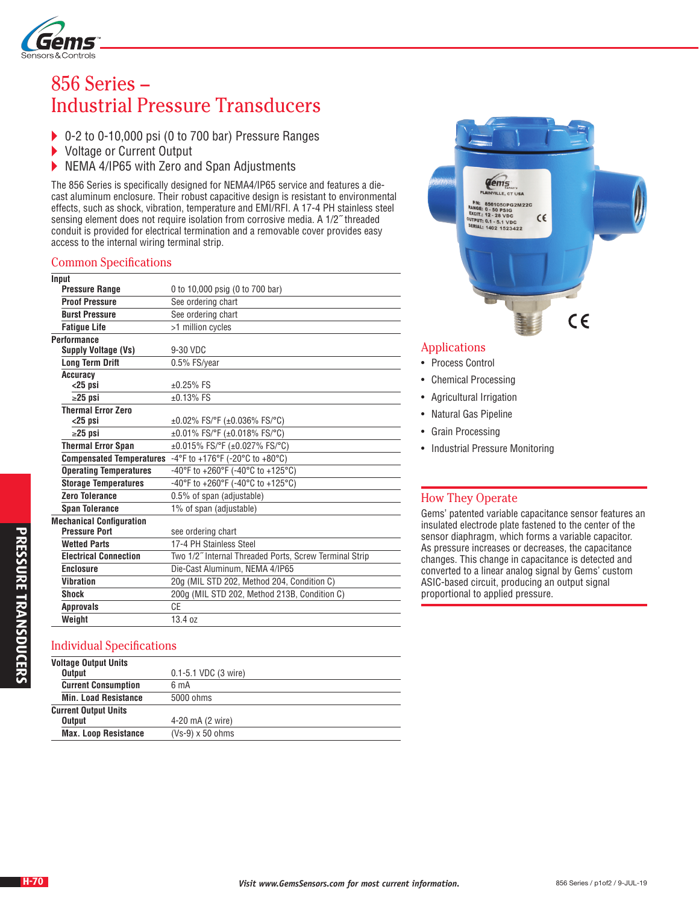

# 856 Series – Industrial Pressure Transducers

- ▶ 0-2 to 0-10,000 psi (0 to 700 bar) Pressure Ranges<br>▶ Voltage or Current Output
- Voltage or Current Output
- NEMA 4/IP65 with Zero and Span Adjustments

The 856 Series is specifically designed for NEMA4/IP65 service and features a diecast aluminum enclosure. Their robust capacitive design is resistant to environmental effects, such as shock, vibration, temperature and EMI/RFI. A 17-4 PH stainless steel sensing element does not require isolation from corrosive media. A 1/2˝ threaded conduit is provided for electrical termination and a removable cover provides easy access to the internal wiring terminal strip.

#### Common Specifications

| Input                           |                                                        |
|---------------------------------|--------------------------------------------------------|
| <b>Pressure Range</b>           | 0 to 10,000 psig (0 to 700 bar)                        |
| <b>Proof Pressure</b>           | See ordering chart                                     |
| <b>Burst Pressure</b>           | See ordering chart                                     |
| <b>Fatigue Life</b>             | >1 million cycles                                      |
| <b>Performance</b>              |                                                        |
| Supply Voltage (Vs)             | 9-30 VDC                                               |
| <b>Long Term Drift</b>          | 0.5% FS/year                                           |
| Accuracy                        |                                                        |
| $<$ 25 psi                      | $±0.25%$ FS                                            |
| $\geq$ 25 psi                   | $±0.13%$ FS                                            |
| <b>Thermal Error Zero</b>       |                                                        |
| $<$ 25 psi                      | $\pm 0.02\%$ FS/°F ( $\pm 0.036\%$ FS/°C)              |
| $\geq$ 25 psi                   | $\pm 0.01\%$ FS/°F ( $\pm 0.018\%$ FS/°C)              |
| <b>Thermal Error Span</b>       | ±0.015% FS/°F (±0.027% FS/°C)                          |
| <b>Compensated Temperatures</b> | -4°F to +176°F (-20°C to +80°C)                        |
| <b>Operating Temperatures</b>   | -40°F to +260°F (-40°C to +125°C)                      |
| <b>Storage Temperatures</b>     | -40°F to +260°F (-40°C to +125°C)                      |
| Zero Tolerance                  | 0.5% of span (adjustable)                              |
| <b>Span Tolerance</b>           | 1% of span (adjustable)                                |
| <b>Mechanical Configuration</b> |                                                        |
| <b>Pressure Port</b>            | see ordering chart                                     |
| <b>Wetted Parts</b>             | 17-4 PH Stainless Steel                                |
| <b>Electrical Connection</b>    | Two 1/2" Internal Threaded Ports, Screw Terminal Strip |
| <b>Enclosure</b>                | Die-Cast Aluminum, NEMA 4/IP65                         |
| <b>Vibration</b>                | 20g (MIL STD 202, Method 204, Condition C)             |
| <b>Shock</b>                    | 200g (MIL STD 202, Method 213B, Condition C)           |
| <b>Approvals</b>                | CE                                                     |
| Weight                          | 13.4 oz                                                |
|                                 |                                                        |

#### Individual Specifications

| <b>Voltage Output Units</b> |                                    |
|-----------------------------|------------------------------------|
| <b>Output</b>               | $0.1 - 5.1$ VDC $(3 \text{ wire})$ |
| <b>Current Consumption</b>  | 6 mA                               |
| <b>Min. Load Resistance</b> | 5000 ohms                          |
| <b>Current Output Units</b> |                                    |
| <b>Output</b>               | 4-20 mA (2 wire)                   |
| <b>Max. Loop Resistance</b> | $(Vs-9) \times 50$ ohms            |



### Applications

- Process Control
- Chemical Processing
- Agricultural Irrigation
- Natural Gas Pipeline
- Grain Processing
- Industrial Pressure Monitoring

#### How They Operate

Gems' patented variable capacitance sensor features an insulated electrode plate fastened to the center of the sensor diaphragm, which forms a variable capacitor. As pressure increases or decreases, the capacitance changes. This change in capacitance is detected and converted to a linear analog signal by Gems' custom ASIC-based circuit, producing an output signal proportional to applied pressure.